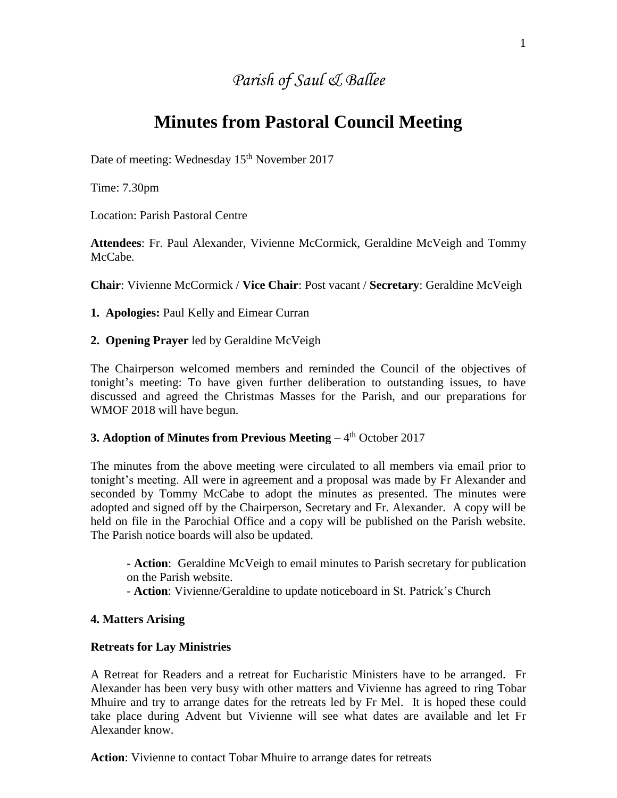## *Parish of Saul & Ballee*

# **Minutes from Pastoral Council Meeting**

Date of meeting: Wednesday 15<sup>th</sup> November 2017

Time: 7.30pm

Location: Parish Pastoral Centre

**Attendees**: Fr. Paul Alexander, Vivienne McCormick, Geraldine McVeigh and Tommy McCabe.

**Chair**: Vivienne McCormick / **Vice Chair**: Post vacant / **Secretary**: Geraldine McVeigh

**1. Apologies:** Paul Kelly and Eimear Curran

**2. Opening Prayer** led by Geraldine McVeigh

The Chairperson welcomed members and reminded the Council of the objectives of tonight's meeting: To have given further deliberation to outstanding issues, to have discussed and agreed the Christmas Masses for the Parish, and our preparations for WMOF 2018 will have begun.

## **3. Adoption of Minutes from Previous Meeting - 4<sup>th</sup> October 2017**

The minutes from the above meeting were circulated to all members via email prior to tonight's meeting. All were in agreement and a proposal was made by Fr Alexander and seconded by Tommy McCabe to adopt the minutes as presented. The minutes were adopted and signed off by the Chairperson, Secretary and Fr. Alexander. A copy will be held on file in the Parochial Office and a copy will be published on the Parish website. The Parish notice boards will also be updated.

**- Action**: Geraldine McVeigh to email minutes to Parish secretary for publication on the Parish website.

- **Action**: Vivienne/Geraldine to update noticeboard in St. Patrick's Church

#### **4. Matters Arising**

#### **Retreats for Lay Ministries**

A Retreat for Readers and a retreat for Eucharistic Ministers have to be arranged. Fr Alexander has been very busy with other matters and Vivienne has agreed to ring Tobar Mhuire and try to arrange dates for the retreats led by Fr Mel. It is hoped these could take place during Advent but Vivienne will see what dates are available and let Fr Alexander know.

**Action**: Vivienne to contact Tobar Mhuire to arrange dates for retreats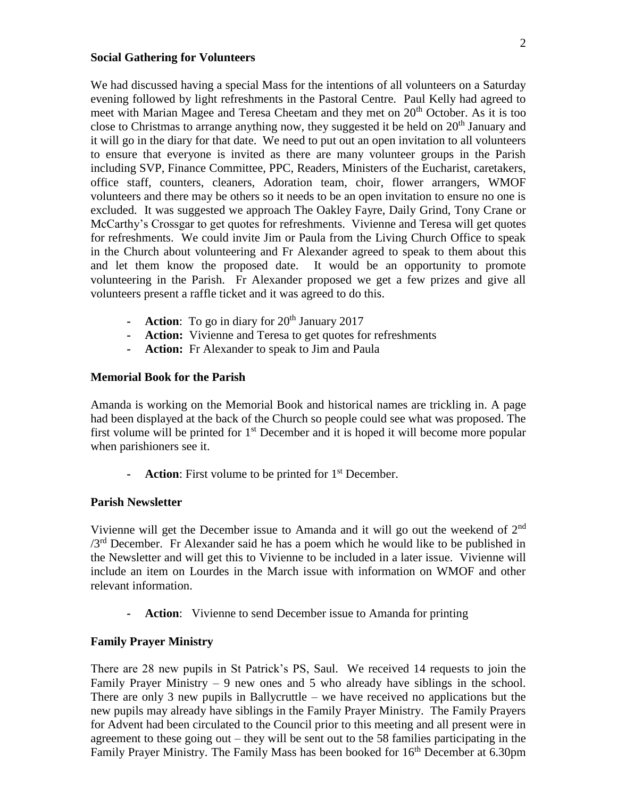#### **Social Gathering for Volunteers**

We had discussed having a special Mass for the intentions of all volunteers on a Saturday evening followed by light refreshments in the Pastoral Centre. Paul Kelly had agreed to meet with Marian Magee and Teresa Cheetam and they met on 20<sup>th</sup> October. As it is too close to Christmas to arrange anything now, they suggested it be held on  $20<sup>th</sup>$  January and it will go in the diary for that date. We need to put out an open invitation to all volunteers to ensure that everyone is invited as there are many volunteer groups in the Parish including SVP, Finance Committee, PPC, Readers, Ministers of the Eucharist, caretakers, office staff, counters, cleaners, Adoration team, choir, flower arrangers, WMOF volunteers and there may be others so it needs to be an open invitation to ensure no one is excluded. It was suggested we approach The Oakley Fayre, Daily Grind, Tony Crane or McCarthy's Crossgar to get quotes for refreshments. Vivienne and Teresa will get quotes for refreshments. We could invite Jim or Paula from the Living Church Office to speak in the Church about volunteering and Fr Alexander agreed to speak to them about this and let them know the proposed date. It would be an opportunity to promote volunteering in the Parish. Fr Alexander proposed we get a few prizes and give all volunteers present a raffle ticket and it was agreed to do this.

- **- Action**: To go in diary for 20<sup>th</sup> January 2017
- **- Action:** Vivienne and Teresa to get quotes for refreshments
- **- Action:** Fr Alexander to speak to Jim and Paula

#### **Memorial Book for the Parish**

Amanda is working on the Memorial Book and historical names are trickling in. A page had been displayed at the back of the Church so people could see what was proposed. The first volume will be printed for  $1<sup>st</sup>$  December and it is hoped it will become more popular when parishioners see it.

**- Action**: First volume to be printed for 1st December.

#### **Parish Newsletter**

Vivienne will get the December issue to Amanda and it will go out the weekend of 2<sup>nd</sup>  $/3<sup>rd</sup>$  December. Fr Alexander said he has a poem which he would like to be published in the Newsletter and will get this to Vivienne to be included in a later issue. Vivienne will include an item on Lourdes in the March issue with information on WMOF and other relevant information.

**- Action**: Vivienne to send December issue to Amanda for printing

#### **Family Prayer Ministry**

There are 28 new pupils in St Patrick's PS, Saul. We received 14 requests to join the Family Prayer Ministry  $-9$  new ones and 5 who already have siblings in the school. There are only 3 new pupils in Ballycruttle – we have received no applications but the new pupils may already have siblings in the Family Prayer Ministry. The Family Prayers for Advent had been circulated to the Council prior to this meeting and all present were in agreement to these going out – they will be sent out to the 58 families participating in the Family Prayer Ministry. The Family Mass has been booked for 16<sup>th</sup> December at 6.30pm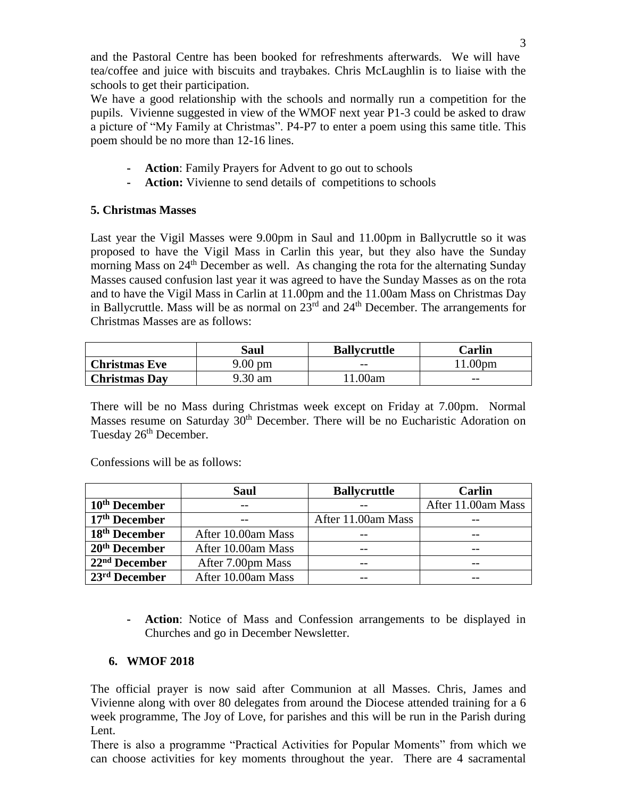and the Pastoral Centre has been booked for refreshments afterwards. We will have tea/coffee and juice with biscuits and traybakes. Chris McLaughlin is to liaise with the schools to get their participation.

We have a good relationship with the schools and normally run a competition for the pupils. Vivienne suggested in view of the WMOF next year P1-3 could be asked to draw a picture of "My Family at Christmas". P4-P7 to enter a poem using this same title. This poem should be no more than 12-16 lines.

- **- Action**: Family Prayers for Advent to go out to schools
- **- Action:** Vivienne to send details of competitions to schools

## **5. Christmas Masses**

Last year the Vigil Masses were 9.00pm in Saul and 11.00pm in Ballycruttle so it was proposed to have the Vigil Mass in Carlin this year, but they also have the Sunday morning Mass on  $24<sup>th</sup>$  December as well. As changing the rota for the alternating Sunday Masses caused confusion last year it was agreed to have the Sunday Masses as on the rota and to have the Vigil Mass in Carlin at 11.00pm and the 11.00am Mass on Christmas Day in Ballycruttle. Mass will be as normal on  $23<sup>rd</sup>$  and  $24<sup>th</sup>$  December. The arrangements for Christmas Masses are as follows:

|                      | Saul              | <b>Ballycruttle</b> | Carlin            |
|----------------------|-------------------|---------------------|-------------------|
| <b>Christmas Eve</b> | $9.00 \text{ pm}$ | $- -$               | .00 <sub>pm</sub> |
| <b>Christmas Day</b> | 9.30 am           | ' 1.00am            | $- -$             |

There will be no Mass during Christmas week except on Friday at 7.00pm. Normal Masses resume on Saturday 30<sup>th</sup> December. There will be no Eucharistic Adoration on Tuesday 26<sup>th</sup> December.

Confessions will be as follows:

|                           | <b>Saul</b>        | <b>Ballycruttle</b> | Carlin             |
|---------------------------|--------------------|---------------------|--------------------|
| 10 <sup>th</sup> December |                    |                     | After 11.00am Mass |
| 17 <sup>th</sup> December |                    | After 11.00am Mass  |                    |
| 18 <sup>th</sup> December | After 10.00am Mass | --                  |                    |
| 20 <sup>th</sup> December | After 10.00am Mass | $ -$                |                    |
| 22 <sup>nd</sup> December | After 7.00pm Mass  |                     |                    |
| $23rd$ December           | After 10.00am Mass | --                  |                    |

**- Action**: Notice of Mass and Confession arrangements to be displayed in Churches and go in December Newsletter.

## **6. WMOF 2018**

The official prayer is now said after Communion at all Masses. Chris, James and Vivienne along with over 80 delegates from around the Diocese attended training for a 6 week programme, The Joy of Love, for parishes and this will be run in the Parish during Lent.

There is also a programme "Practical Activities for Popular Moments" from which we can choose activities for key moments throughout the year. There are 4 sacramental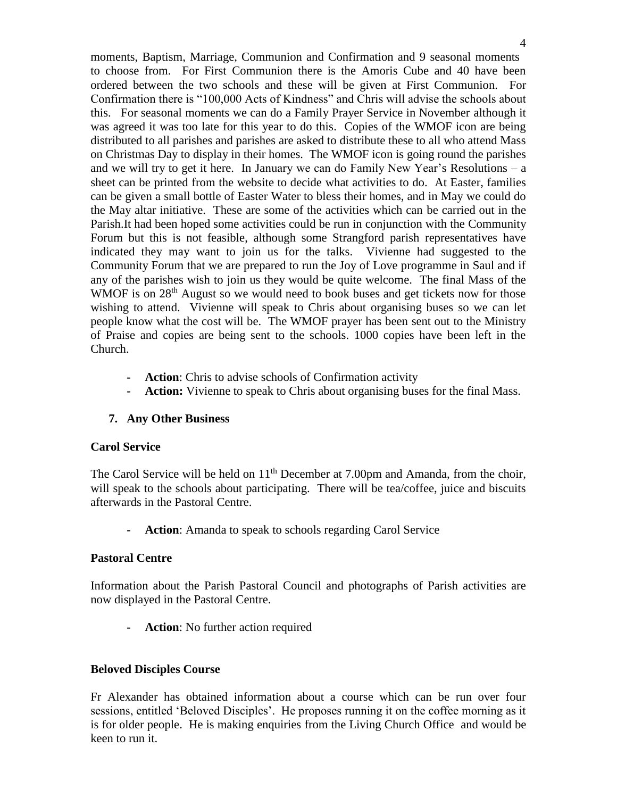moments, Baptism, Marriage, Communion and Confirmation and 9 seasonal moments to choose from. For First Communion there is the Amoris Cube and 40 have been ordered between the two schools and these will be given at First Communion. For Confirmation there is "100,000 Acts of Kindness" and Chris will advise the schools about this. For seasonal moments we can do a Family Prayer Service in November although it was agreed it was too late for this year to do this. Copies of the WMOF icon are being distributed to all parishes and parishes are asked to distribute these to all who attend Mass on Christmas Day to display in their homes. The WMOF icon is going round the parishes and we will try to get it here. In January we can do Family New Year's Resolutions – a sheet can be printed from the website to decide what activities to do. At Easter, families can be given a small bottle of Easter Water to bless their homes, and in May we could do the May altar initiative. These are some of the activities which can be carried out in the Parish.It had been hoped some activities could be run in conjunction with the Community Forum but this is not feasible, although some Strangford parish representatives have indicated they may want to join us for the talks. Vivienne had suggested to the Community Forum that we are prepared to run the Joy of Love programme in Saul and if any of the parishes wish to join us they would be quite welcome. The final Mass of the WMOF is on  $28<sup>th</sup>$  August so we would need to book buses and get tickets now for those wishing to attend. Vivienne will speak to Chris about organising buses so we can let people know what the cost will be. The WMOF prayer has been sent out to the Ministry of Praise and copies are being sent to the schools. 1000 copies have been left in the Church.

- **- Action**: Chris to advise schools of Confirmation activity
- **- Action:** Vivienne to speak to Chris about organising buses for the final Mass.

## **7. Any Other Business**

## **Carol Service**

The Carol Service will be held on  $11<sup>th</sup>$  December at 7.00pm and Amanda, from the choir, will speak to the schools about participating. There will be tea/coffee, juice and biscuits afterwards in the Pastoral Centre.

**- Action**: Amanda to speak to schools regarding Carol Service

## **Pastoral Centre**

Information about the Parish Pastoral Council and photographs of Parish activities are now displayed in the Pastoral Centre.

**- Action**: No further action required

## **Beloved Disciples Course**

Fr Alexander has obtained information about a course which can be run over four sessions, entitled 'Beloved Disciples'. He proposes running it on the coffee morning as it is for older people. He is making enquiries from the Living Church Office and would be keen to run it.